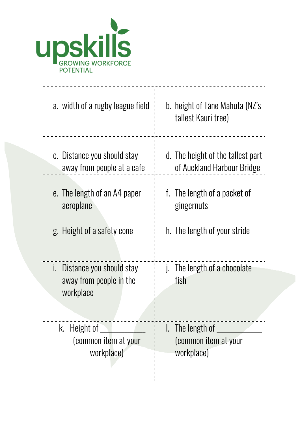

| a. width of a rugby league field                                    | b. height of Tāne Mahuta (NZ's<br>tallest Kauri tree) |
|---------------------------------------------------------------------|-------------------------------------------------------|
| c. Distance you should stay                                         | d. The height of the tallest part                     |
| away from people at a cafe                                          | of Auckland Harbour Bridge                            |
| e. The length of an A4 paper                                        | f. The length of a packet of                          |
| aeroplane                                                           | gingernuts                                            |
| g. Height of a safety cone                                          | h. The length of your stride                          |
| i. Distance you should stay<br>away from people in the<br>workplace | j. The length of a chocolate<br>fish                  |
| k. Height of $\overline{\phantom{a}}$                               | $\,$ I. The length of $\_$                            |
| (common item at your                                                | (common item at your                                  |
| workplace)                                                          | workplace)                                            |